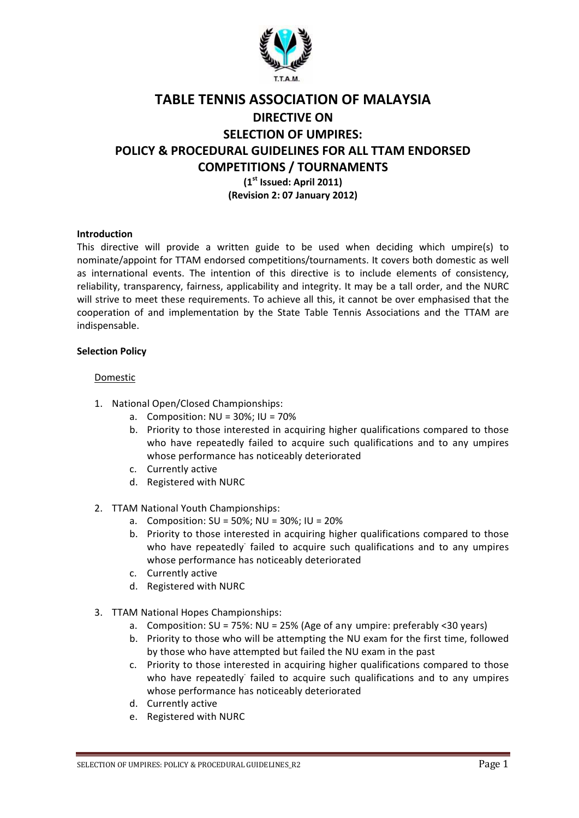

# TABLE TENNIS ASSOCIATION OF MALAYSIA DIRECTIVE ON SELECTION OF UMPIRES: POLICY & PROCEDURAL GUIDELINES FOR ALL TTAM ENDORSED COMPETITIONS / TOURNAMENTS  $(1<sup>st</sup>$  Issued: April 2011) (Revision 2: 07 January 2012)

## Introduction

This directive will provide a written guide to be used when deciding which umpire(s) to nominate/appoint for TTAM endorsed competitions/tournaments. It covers both domestic as well as international events. The intention of this directive is to include elements of consistency, reliability, transparency, fairness, applicability and integrity. It may be a tall order, and the NURC will strive to meet these requirements. To achieve all this, it cannot be over emphasised that the cooperation of and implementation by the State Table Tennis Associations and the TTAM are indispensable.

#### Selection Policy

#### Domestic

- 1. National Open/Closed Championships:
	- a. Composition: NU = 30%; IU = 70%
	- b. Priority to those interested in acquiring higher qualifications compared to those who have repeatedly failed to acquire such qualifications and to any umpires whose performance has noticeably deteriorated
	- c. Currently active
	- d. Registered with NURC
- 2. TTAM National Youth Championships:
	- a. Composition: SU = 50%; NU = 30%; IU = 20%
	- b. Priority to those interested in acquiring higher qualifications compared to those who have repeatedly failed to acquire such qualifications and to any umpires whose performance has noticeably deteriorated
	- c. Currently active
	- d. Registered with NURC
- 3. TTAM National Hopes Championships:
	- a. Composition: SU = 75%: NU = 25% (Age of any umpire: preferably <30 years)
	- b. Priority to those who will be attempting the NU exam for the first time, followed by those who have attempted but failed the NU exam in the past
	- c. Priority to those interested in acquiring higher qualifications compared to those who have repeatedly failed to acquire such qualifications and to any umpires whose performance has noticeably deteriorated
	- d. Currently active
	- e. Registered with NURC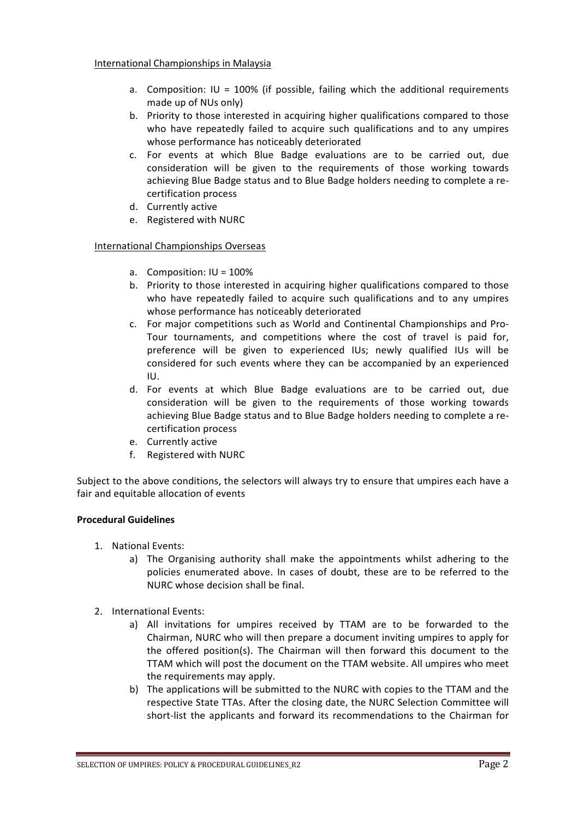- a. Composition:  $IU = 100%$  (if possible, failing which the additional requirements made up of NUs only)
- b. Priority to those interested in acquiring higher qualifications compared to those who have repeatedly failed to acquire such qualifications and to any umpires whose performance has noticeably deteriorated
- c. For events at which Blue Badge evaluations are to be carried out, due consideration will be given to the requirements of those working towards achieving Blue Badge status and to Blue Badge holders needing to complete a recertification process
- d. Currently active
- e. Registered with NURC

## International Championships Overseas

- a. Composition: IU = 100%
- b. Priority to those interested in acquiring higher qualifications compared to those who have repeatedly failed to acquire such qualifications and to any umpires whose performance has noticeably deteriorated
- c. For major competitions such as World and Continental Championships and Pro-Tour tournaments, and competitions where the cost of travel is paid for, preference will be given to experienced IUs; newly qualified IUs will be considered for such events where they can be accompanied by an experienced IU.
- d. For events at which Blue Badge evaluations are to be carried out, due consideration will be given to the requirements of those working towards achieving Blue Badge status and to Blue Badge holders needing to complete a recertification process
- e. Currently active
- f. Registered with NURC

Subject to the above conditions, the selectors will always try to ensure that umpires each have a fair and equitable allocation of events

## Procedural Guidelines

- 1. National Events:
	- a) The Organising authority shall make the appointments whilst adhering to the policies enumerated above. In cases of doubt, these are to be referred to the NURC whose decision shall be final.
- 2. International Events:
	- a) All invitations for umpires received by TTAM are to be forwarded to the Chairman, NURC who will then prepare a document inviting umpires to apply for the offered position(s). The Chairman will then forward this document to the TTAM which will post the document on the TTAM website. All umpires who meet the requirements may apply.
	- b) The applications will be submitted to the NURC with copies to the TTAM and the respective State TTAs. After the closing date, the NURC Selection Committee will short-list the applicants and forward its recommendations to the Chairman for